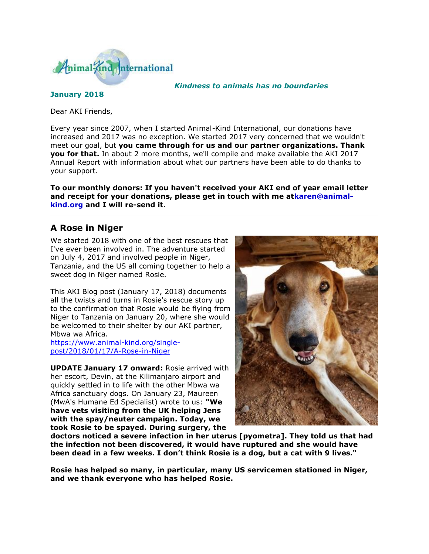

*Kindness to animals has no boundaries*

**January 2018**

Dear AKI Friends,

Every year since 2007, when I started Animal-Kind International, our donations have increased and 2017 was no exception. We started 2017 very concerned that we wouldn't meet our goal, but **you came through for us and our partner organizations. Thank you for that.** In about 2 more months, we'll compile and make available the AKI 2017 Annual Report with information about what our partners have been able to do thanks to your support.

**To our monthly donors: If you haven't received your AKI end of year email letter and receipt for your donations, please get in touch with me atkaren@animalkind.org and I will re-send it.**

## **A Rose in Niger**

We started 2018 with one of the best rescues that I've ever been involved in. The adventure started on July 4, 2017 and involved people in Niger, Tanzania, and the US all coming together to help a sweet dog in Niger named Rosie.

This AKI Blog post (January 17, 2018) documents all the twists and turns in Rosie's rescue story up to the confirmation that Rosie would be flying from Niger to Tanzania on January 20, where she would be welcomed to their shelter by our AKI partner, Mbwa wa Africa.

[https://www.animal-kind.org/single](http://cts.vresp.com/c/?AnimalKindInternatio/35107a39d9/4d75da415c/16e802c6e6)[post/2018/01/17/A-Rose-in-Niger](http://cts.vresp.com/c/?AnimalKindInternatio/35107a39d9/4d75da415c/16e802c6e6)

**UPDATE January 17 onward:** Rosie arrived with her escort, Devin, at the Kilimanjaro airport and quickly settled in to life with the other Mbwa wa Africa sanctuary dogs. On January 23, Maureen (MwA's Humane Ed Specialist) wrote to us: **"We have vets visiting from the UK helping Jens with the spay/neuter campaign. Today, we took Rosie to be spayed. During surgery, the** 



**doctors noticed a severe infection in her uterus [pyometra]. They told us that had the infection not been discovered, it would have ruptured and she would have been dead in a few weeks. I don't think Rosie is a dog, but a cat with 9 lives."**

**Rosie has helped so many, in particular, many US servicemen stationed in Niger, and we thank everyone who has helped Rosie.**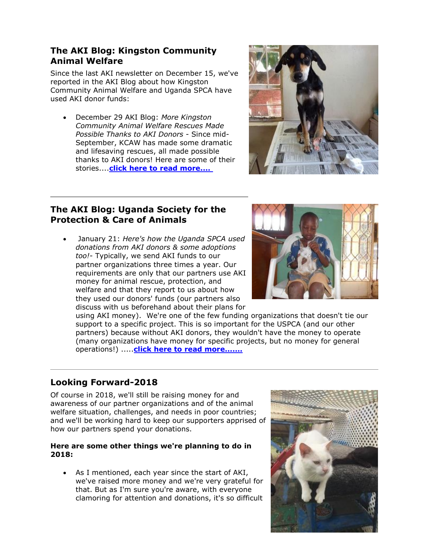## **The AKI Blog: Kingston Community Animal Welfare**

Since the last AKI newsletter on December 15, we've reported in the AKI Blog about how Kingston Community Animal Welfare and Uganda SPCA have used AKI donor funds:

 December 29 AKI Blog: *More Kingston Community Animal Welfare Rescues Made Possible Thanks to AKI Donors* - Since mid-September, KCAW has made some dramatic and lifesaving rescues, all made possible thanks to AKI donors! Here are some of their stories....**[click here to read more....](http://cts.vresp.com/c/?AnimalKindInternatio/35107a39d9/4d75da415c/025c1eeeb8)**



### **The AKI Blog: Uganda Society for the Protection & Care of Animals**

 January 21: *Here's how the Uganda SPCA used donations from AKI donors & some adoptions too!*- Typically, we send AKI funds to our partner organizations three times a year. Our requirements are only that our partners use AKI money for animal rescue, protection, and welfare and that they report to us about how they used our donors' funds (our partners also discuss with us beforehand about their plans for



using AKI money). We're one of the few funding organizations that doesn't tie our support to a specific project. This is so important for the USPCA (and our other partners) because without AKI donors, they wouldn't have the money to operate (many organizations have money for specific projects, but no money for general operations!) .....**[click here to read more.......](http://cts.vresp.com/c/?AnimalKindInternatio/35107a39d9/4d75da415c/9097ef1734)**

# **Looking Forward-2018**

Of course in 2018, we'll still be raising money for and awareness of our partner organizations and of the animal welfare situation, challenges, and needs in poor countries; and we'll be working hard to keep our supporters apprised of how our partners spend your donations.

#### **Here are some other things we're planning to do in 2018:**

 As I mentioned, each year since the start of AKI, we've raised more money and we're very grateful for that. But as I'm sure you're aware, with everyone clamoring for attention and donations, it's so difficult

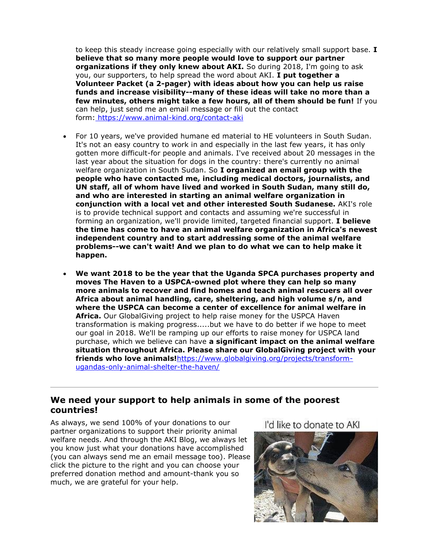to keep this steady increase going especially with our relatively small support base. **I believe that so many more people would love to support our partner organizations if they only knew about AKI.** So during 2018, I'm going to ask you, our supporters, to help spread the word about AKI. **I put together a Volunteer Packet (a 2-pager) with ideas about how you can help us raise funds and increase visibility--many of these ideas will take no more than a few minutes, others might take a few hours, all of them should be fun!** If you can help, just send me an email message or fill out the contact form: [https://www.animal-kind.org/contact-aki](http://cts.vresp.com/c/?AnimalKindInternatio/35107a39d9/4d75da415c/b94fe87504)

- For 10 years, we've provided humane ed material to HE volunteers in South Sudan. It's not an easy country to work in and especially in the last few years, it has only gotten more difficult-for people and animals. I've received about 20 messages in the last year about the situation for dogs in the country: there's currently no animal welfare organization in South Sudan. So **I organized an email group with the people who have contacted me, including medical doctors, journalists, and UN staff, all of whom have lived and worked in South Sudan, many still do, and who are interested in starting an animal welfare organization in conjunction with a local vet and other interested South Sudanese.** AKI's role is to provide technical support and contacts and assuming we're successful in forming an organization, we'll provide limited, targeted financial support. **I believe the time has come to have an animal welfare organization in Africa's newest independent country and to start addressing some of the animal welfare problems--we can't wait! And we plan to do what we can to help make it happen.**
- **We want 2018 to be the year that the Uganda SPCA purchases property and moves The Haven to a USPCA-owned plot where they can help so many more animals to recover and find homes and teach animal rescuers all over Africa about animal handling, care, sheltering, and high volume s/n, and where the USPCA can become a center of excellence for animal welfare in Africa.** Our GlobalGiving project to help raise money for the USPCA Haven transformation is making progress.....but we have to do better if we hope to meet our goal in 2018. We'll be ramping up our efforts to raise money for USPCA land purchase, which we believe can have **a significant impact on the animal welfare situation throughout Africa. Please share our GlobalGiving project with your friends who love animals!**[https://www.globalgiving.org/projects/transform](http://cts.vresp.com/c/?AnimalKindInternatio/35107a39d9/4d75da415c/67caeb6ffb)[ugandas-only-animal-shelter-the-haven/](http://cts.vresp.com/c/?AnimalKindInternatio/35107a39d9/4d75da415c/67caeb6ffb)

#### **We need your support to help animals in some of the poorest countries!**

As always, we send 100% of your donations to our partner organizations to support their priority animal welfare needs. And through the AKI Blog, we always let you know just what your donations have accomplished (you can always send me an email message too). Please click the picture to the right and you can choose your preferred donation method and amount-thank you so much, we are grateful for your help.

I'd like to donate to AKI